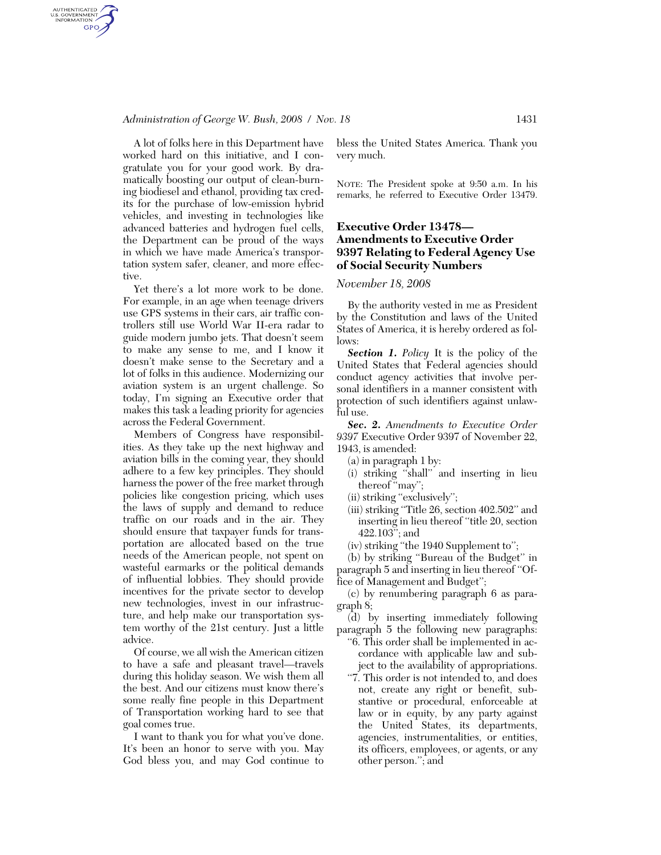### *Administration of George W. Bush, 2008 / Nov. 18* 1431

AUTHENTICATED<br>U.S. GOVERNMENT<br>INFORMATION **GPO** 

> A lot of folks here in this Department have worked hard on this initiative, and I congratulate you for your good work. By dramatically boosting our output of clean-burning biodiesel and ethanol, providing tax credits for the purchase of low-emission hybrid vehicles, and investing in technologies like advanced batteries and hydrogen fuel cells, the Department can be proud of the ways in which we have made America's transportation system safer, cleaner, and more effective.

> Yet there's a lot more work to be done. For example, in an age when teenage drivers use GPS systems in their cars, air traffic controllers still use World War II-era radar to guide modern jumbo jets. That doesn't seem to make any sense to me, and I know it doesn't make sense to the Secretary and a lot of folks in this audience. Modernizing our aviation system is an urgent challenge. So today, I'm signing an Executive order that makes this task a leading priority for agencies across the Federal Government.

> Members of Congress have responsibilities. As they take up the next highway and aviation bills in the coming year, they should adhere to a few key principles. They should harness the power of the free market through policies like congestion pricing, which uses the laws of supply and demand to reduce traffic on our roads and in the air. They should ensure that taxpayer funds for transportation are allocated based on the true needs of the American people, not spent on wasteful earmarks or the political demands of influential lobbies. They should provide incentives for the private sector to develop new technologies, invest in our infrastructure, and help make our transportation system worthy of the 21st century. Just a little advice.

> Of course, we all wish the American citizen to have a safe and pleasant travel—travels during this holiday season. We wish them all the best. And our citizens must know there's some really fine people in this Department of Transportation working hard to see that goal comes true.

> I want to thank you for what you've done. It's been an honor to serve with you. May God bless you, and may God continue to

bless the United States America. Thank you very much.

NOTE: The President spoke at 9:50 a.m. In his remarks, he referred to Executive Order 13479.

## **Executive Order 13478— Amendments to Executive Order 9397 Relating to Federal Agency Use of Social Security Numbers**

#### *November 18, 2008*

By the authority vested in me as President by the Constitution and laws of the United States of America, it is hereby ordered as follows:

*Section 1. Policy* It is the policy of the United States that Federal agencies should conduct agency activities that involve personal identifiers in a manner consistent with protection of such identifiers against unlawful use.

*Sec. 2. Amendments to Executive Order 9397* Executive Order 9397 of November 22, 1943, is amended:

- (a) in paragraph 1 by:
- (i) striking ''shall'' and inserting in lieu thereof "may";
- (ii) striking "exclusively";
- (iii) striking ''Title 26, section 402.502'' and inserting in lieu thereof ''title 20, section 422.103''; and
- (iv) striking ''the 1940 Supplement to'';

(b) by striking ''Bureau of the Budget'' in paragraph 5 and inserting in lieu thereof ''Office of Management and Budget'';

(c) by renumbering paragraph 6 as paragraph 8;

(d) by inserting immediately following paragraph 5 the following new paragraphs:

- ''6. This order shall be implemented in accordance with applicable law and subject to the availability of appropriations.
- "7. This order is not intended to, and does not, create any right or benefit, substantive or procedural, enforceable at law or in equity, by any party against the United States, its departments, agencies, instrumentalities, or entities, its officers, employees, or agents, or any other person.''; and